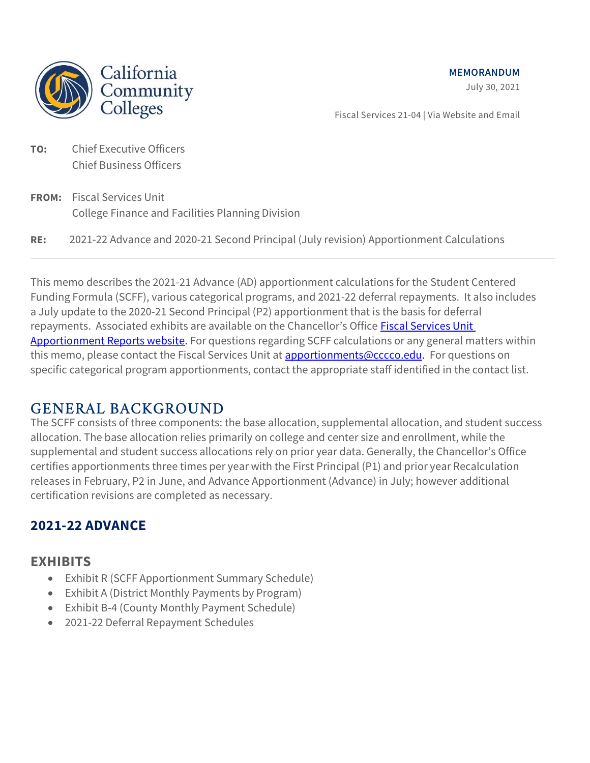MEMORANDUM





Fiscal Services 21-04 | Via Website and Email

- TO: Chief Executive Officers Chief Business Officers
- FROM: Fiscal Services Unit College Finance and Facilities Planning Division
- RE: 2021-22 Advance and 2020-21 Second Principal (July revision) Apportionment Calculations

This memo describes the 2021-21 Advance (AD) apportionment calculations for the Student Centered Funding Formula (SCFF), various categorical programs, and 2021-22 deferral repayments. It also includes a July update to the 2020-21 Second Principal (P2) apportionment that is the basis for deferral repayments. Associated exhibits are available on the Chancellor's Office Fiscal Services Unit Apportionment Reports website. For questions regarding SCFF calculations or any general matters within this memo, please contact the Fiscal Services Unit at apportionments@cccco.edu. For questions on specific categorical program apportionments, contact the appropriate staff identified in the contact list.

## GENERAL BACKGROUND

The SCFF consists of three components: the base allocation, supplemental allocation, and student success allocation. The base allocation relies primarily on college and center size and enrollment, while the supplemental and student success allocations rely on prior year data. Generally, the Chancellor's Office certifies apportionments three times per year with the First Principal (P1) and prior year Recalculation releases in February, P2 in June, and Advance Apportionment (Advance) in July; however additional certification revisions are completed as necessary.

### 2021-22 ADVANCE

#### **EXHIBITS**

- Exhibit R (SCFF Apportionment Summary Schedule)
- Exhibit A (District Monthly Payments by Program)
- Exhibit B-4 (County Monthly Payment Schedule)
- 2021-22 Deferral Repayment Schedules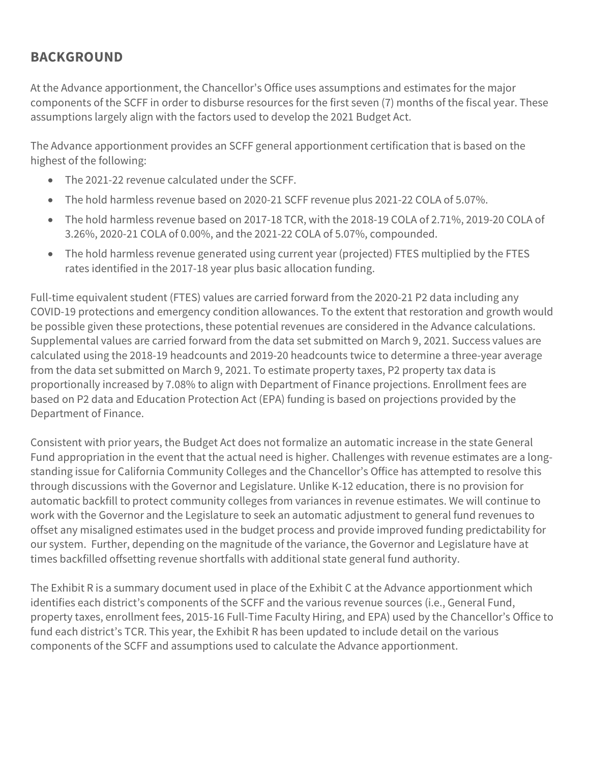### BACKGROUND

At the Advance apportionment, the Chancellor's Office uses assumptions and estimates for the major components of the SCFF in order to disburse resources for the first seven (7) months of the fiscal year. These assumptions largely align with the factors used to develop the 2021 Budget Act.

The Advance apportionment provides an SCFF general apportionment certification that is based on the highest of the following:

- The 2021-22 revenue calculated under the SCFF.
- The hold harmless revenue based on 2020-21 SCFF revenue plus 2021-22 COLA of 5.07%.
- The hold harmless revenue based on 2017-18 TCR, with the 2018-19 COLA of 2.71%, 2019-20 COLA of 3.26%, 2020-21 COLA of 0.00%, and the 2021-22 COLA of 5.07%, compounded.
- The hold harmless revenue generated using current year (projected) FTES multiplied by the FTES rates identified in the 2017-18 year plus basic allocation funding.

Full-time equivalent student (FTES) values are carried forward from the 2020-21 P2 data including any COVID-19 protections and emergency condition allowances. To the extent that restoration and growth would be possible given these protections, these potential revenues are considered in the Advance calculations. Supplemental values are carried forward from the data set submitted on March 9, 2021. Success values are calculated using the 2018-19 headcounts and 2019-20 headcounts twice to determine a three-year average from the data set submitted on March 9, 2021. To estimate property taxes, P2 property tax data is proportionally increased by 7.08% to align with Department of Finance projections. Enrollment fees are based on P2 data and Education Protection Act (EPA) funding is based on projections provided by the Department of Finance.

Consistent with prior years, the Budget Act does not formalize an automatic increase in the state General Fund appropriation in the event that the actual need is higher. Challenges with revenue estimates are a longstanding issue for California Community Colleges and the Chancellor's Office has attempted to resolve this through discussions with the Governor and Legislature. Unlike K-12 education, there is no provision for automatic backfill to protect community colleges from variances in revenue estimates. We will continue to work with the Governor and the Legislature to seek an automatic adjustment to general fund revenues to offset any misaligned estimates used in the budget process and provide improved funding predictability for our system. Further, depending on the magnitude of the variance, the Governor and Legislature have at times backfilled offsetting revenue shortfalls with additional state general fund authority.

The Exhibit R is a summary document used in place of the Exhibit C at the Advance apportionment which identifies each district's components of the SCFF and the various revenue sources (i.e., General Fund, property taxes, enrollment fees, 2015-16 Full-Time Faculty Hiring, and EPA) used by the Chancellor's Office to fund each district's TCR. This year, the Exhibit R has been updated to include detail on the various components of the SCFF and assumptions used to calculate the Advance apportionment.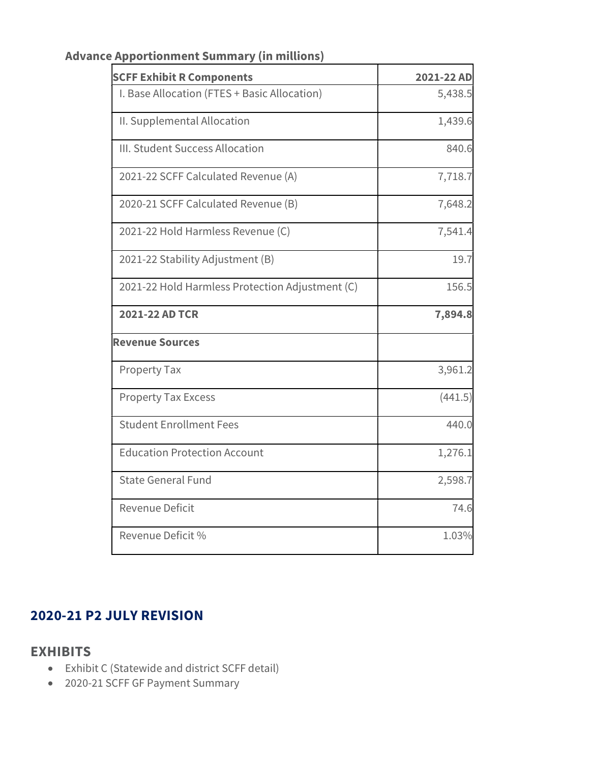| <b>SCFF Exhibit R Components</b>                | 2021-22 AD |  |
|-------------------------------------------------|------------|--|
| I. Base Allocation (FTES + Basic Allocation)    | 5,438.5    |  |
| II. Supplemental Allocation                     | 1,439.6    |  |
| III. Student Success Allocation                 | 840.6      |  |
| 2021-22 SCFF Calculated Revenue (A)             | 7,718.7    |  |
| 2020-21 SCFF Calculated Revenue (B)             | 7,648.2    |  |
| 2021-22 Hold Harmless Revenue (C)               | 7,541.4    |  |
| 2021-22 Stability Adjustment (B)                | 19.7       |  |
| 2021-22 Hold Harmless Protection Adjustment (C) | 156.5      |  |
| 2021-22 AD TCR                                  | 7,894.8    |  |
| <b>Revenue Sources</b>                          |            |  |
| Property Tax                                    | 3,961.2    |  |
| <b>Property Tax Excess</b>                      | (441.5)    |  |
| <b>Student Enrollment Fees</b>                  | 440.0      |  |
| <b>Education Protection Account</b>             | 1,276.1    |  |
| <b>State General Fund</b>                       | 2,598.7    |  |
| <b>Revenue Deficit</b>                          | 74.6       |  |
| Revenue Deficit %                               | 1.03%      |  |

#### Advance Apportionment Summary (in millions)

#### 2020-21 P2 JULY REVISION

#### **EXHIBITS**

- Exhibit C (Statewide and district SCFF detail)
- 2020-21 SCFF GF Payment Summary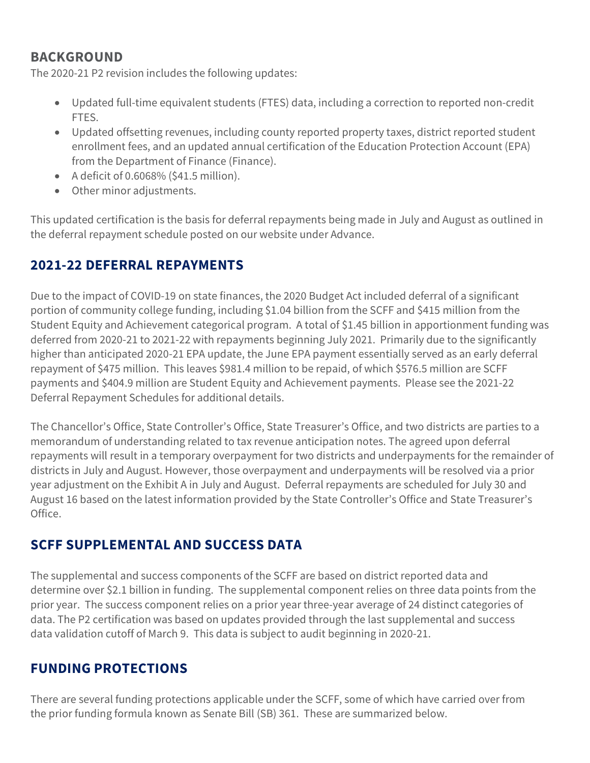#### BACKGROUND

The 2020-21 P2 revision includes the following updates:

- Updated full-time equivalent students (FTES) data, including a correction to reported non-credit FTES.
- Updated offsetting revenues, including county reported property taxes, district reported student enrollment fees, and an updated annual certification of the Education Protection Account (EPA) from the Department of Finance (Finance).
- A deficit of 0.6068% (\$41.5 million).
- Other minor adjustments.

This updated certification is the basis for deferral repayments being made in July and August as outlined in the deferral repayment schedule posted on our website under Advance.

# 2021-22 DEFERRAL REPAYMENTS

Due to the impact of COVID-19 on state finances, the 2020 Budget Act included deferral of a significant portion of community college funding, including \$1.04 billion from the SCFF and \$415 million from the Student Equity and Achievement categorical program. A total of \$1.45 billion in apportionment funding was deferred from 2020-21 to 2021-22 with repayments beginning July 2021. Primarily due to the significantly higher than anticipated 2020-21 EPA update, the June EPA payment essentially served as an early deferral repayment of \$475 million. This leaves \$981.4 million to be repaid, of which \$576.5 million are SCFF payments and \$404.9 million are Student Equity and Achievement payments. Please see the 2021-22 Deferral Repayment Schedules for additional details.

The Chancellor's Office, State Controller's Office, State Treasurer's Office, and two districts are parties to a memorandum of understanding related to tax revenue anticipation notes. The agreed upon deferral repayments will result in a temporary overpayment for two districts and underpayments for the remainder of districts in July and August. However, those overpayment and underpayments will be resolved via a prior year adjustment on the Exhibit A in July and August. Deferral repayments are scheduled for July 30 and August 16 based on the latest information provided by the State Controller's Office and State Treasurer's Office.

## SCFF SUPPLEMENTAL AND SUCCESS DATA

The supplemental and success components of the SCFF are based on district reported data and determine over \$2.1 billion in funding. The supplemental component relies on three data points from the prior year. The success component relies on a prior year three-year average of 24 distinct categories of data. The P2 certification was based on updates provided through the last supplemental and success data validation cutoff of March 9. This data is subject to audit beginning in 2020-21.

### FUNDING PROTECTIONS

There are several funding protections applicable under the SCFF, some of which have carried over from the prior funding formula known as Senate Bill (SB) 361. These are summarized below.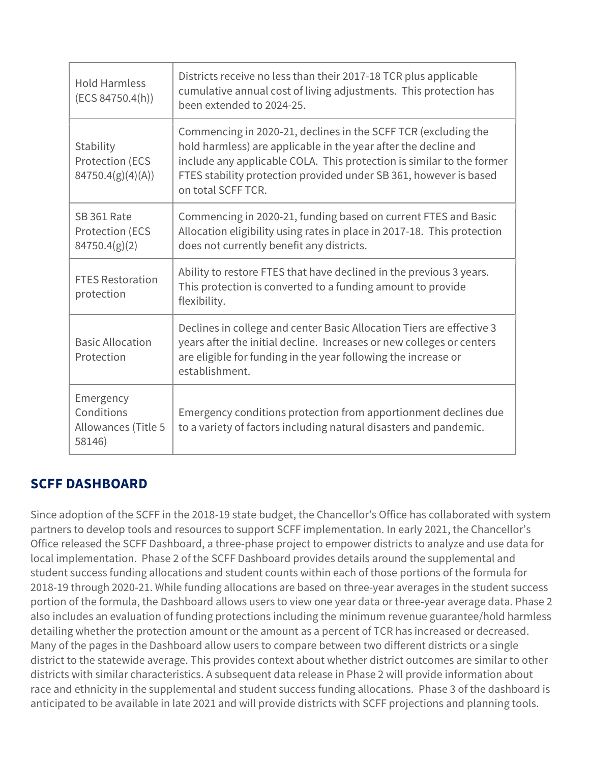| <b>Hold Harmless</b><br>(ECS 84750.4(h))                 | Districts receive no less than their 2017-18 TCR plus applicable<br>cumulative annual cost of living adjustments. This protection has<br>been extended to 2024-25.                                                                                                                                    |
|----------------------------------------------------------|-------------------------------------------------------------------------------------------------------------------------------------------------------------------------------------------------------------------------------------------------------------------------------------------------------|
| Stability<br><b>Protection (ECS</b><br>84750.4(g)(4)(A)) | Commencing in 2020-21, declines in the SCFF TCR (excluding the<br>hold harmless) are applicable in the year after the decline and<br>include any applicable COLA. This protection is similar to the former<br>FTES stability protection provided under SB 361, however is based<br>on total SCFF TCR. |
| SB 361 Rate<br><b>Protection (ECS)</b><br>84750.4(g)(2)  | Commencing in 2020-21, funding based on current FTES and Basic<br>Allocation eligibility using rates in place in 2017-18. This protection<br>does not currently benefit any districts.                                                                                                                |
| <b>FTES Restoration</b><br>protection                    | Ability to restore FTES that have declined in the previous 3 years.<br>This protection is converted to a funding amount to provide<br>flexibility.                                                                                                                                                    |
| <b>Basic Allocation</b><br>Protection                    | Declines in college and center Basic Allocation Tiers are effective 3<br>years after the initial decline. Increases or new colleges or centers<br>are eligible for funding in the year following the increase or<br>establishment.                                                                    |
| Emergency<br>Conditions<br>Allowances (Title 5<br>58146) | Emergency conditions protection from apportionment declines due<br>to a variety of factors including natural disasters and pandemic.                                                                                                                                                                  |

## SCFF DASHBOARD

Since adoption of the SCFF in the 2018-19 state budget, the Chancellor's Office has collaborated with system partners to develop tools and resources to support SCFF implementation. In early 2021, the Chancellor's Office released the SCFF Dashboard, a three-phase project to empower districts to analyze and use data for local implementation. Phase 2 of the SCFF Dashboard provides details around the supplemental and student success funding allocations and student counts within each of those portions of the formula for 2018-19 through 2020-21. While funding allocations are based on three-year averages in the student success portion of the formula, the Dashboard allows users to view one year data or three-year average data. Phase 2 also includes an evaluation of funding protections including the minimum revenue guarantee/hold harmless detailing whether the protection amount or the amount as a percent of TCR has increased or decreased. Many of the pages in the Dashboard allow users to compare between two different districts or a single district to the statewide average. This provides context about whether district outcomes are similar to other districts with similar characteristics. A subsequent data release in Phase 2 will provide information about race and ethnicity in the supplemental and student success funding allocations. Phase 3 of the dashboard is anticipated to be available in late 2021 and will provide districts with SCFF projections and planning tools.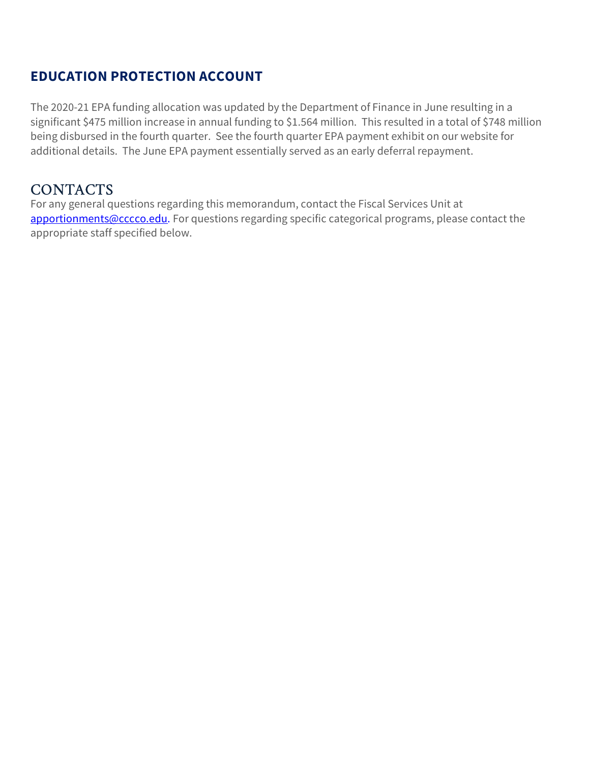### EDUCATION PROTECTION ACCOUNT

The 2020-21 EPA funding allocation was updated by the Department of Finance in June resulting in a significant \$475 million increase in annual funding to \$1.564 million. This resulted in a total of \$748 million being disbursed in the fourth quarter. See the fourth quarter EPA payment exhibit on our website for additional details. The June EPA payment essentially served as an early deferral repayment.

#### **CONTACTS**

For any general questions regarding this memorandum, contact the Fiscal Services Unit at apportionments@cccco.edu. For questions regarding specific categorical programs, please contact the appropriate staff specified below.